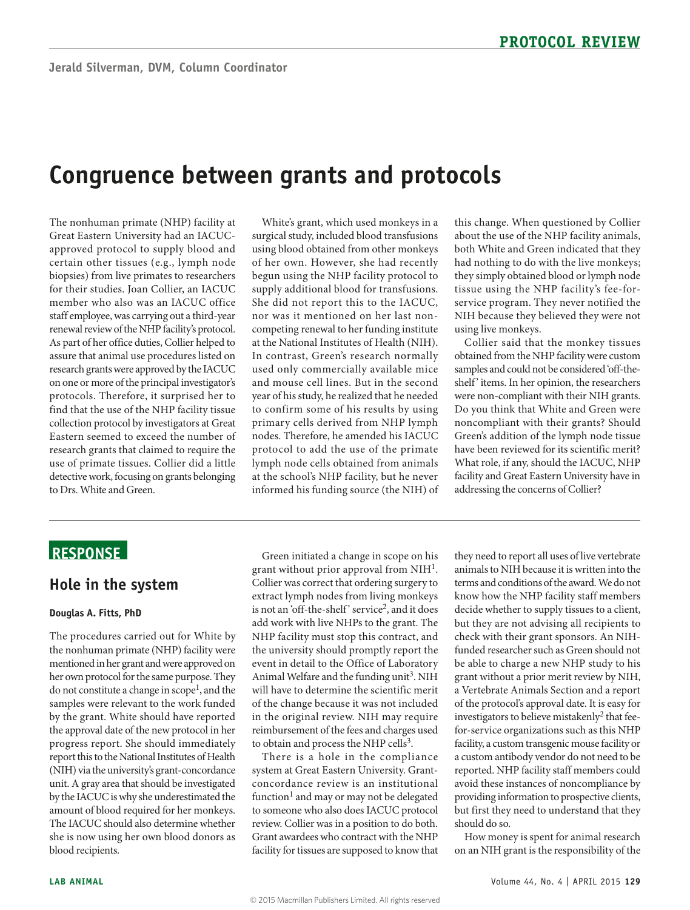# **Congruence between grants and protocols**

approved protocol to supply blood and biopsies) from live primates to researchers on one or more of the principal investigator's detective work, focusing on grants belonging The nonhuman primate (NHP) facility at Great Eastern University had an IACUCcertain other tissues (e.g., lymph node for their studies. Joan Collier, an IACUC member who also was an IACUC office staff employee, was carrying out a third-year renewal review of the NHP facility's protocol. As part of her office duties, Collier helped to assure that animal use procedures listed on research grants were approved by the IACUC protocols. Therefore, it surprised her to find that the use of the NHP facility tissue collection protocol by investigators at Great Eastern seemed to exceed the number of research grants that claimed to require the use of primate tissues. Collier did a little to Drs. White and Green.

 using blood obtained from other monkeys nor was it mentioned on her last nonand mouse cell lines. But in the second year of his study, he realized that he needed White's grant, which used monkeys in a surgical study, included blood transfusions of her own. However, she had recently begun using the NHP facility protocol to supply additional blood for transfusions. She did not report this to the IACUC, competing renewal to her funding institute at the National Institutes of Health (NIH). In contrast, Green's research normally used only commercially available mice to confirm some of his results by using primary cells derived from NHP lymph nodes. Therefore, he amended his IACUC protocol to add the use of the primate lymph node cells obtained from animals at the school's NHP facility, but he never informed his funding source (the NIH) of

 ser vice program. They never notified the this change. When questioned by Collier about the use of the NHP facility animals, both White and Green indicated that they had nothing to do with the live monkeys; they simply obtained blood or lymph node tissue using the NHP facility's fee-for-NIH because they believed they were not using live monkeys.

Collier said that the monkey tissues obtained from the NHP facility were custom samples and could not be considered 'off-theshelf' items. In her opinion, the researchers were non-compliant with their NIH grants. Do you think that White and Green were noncompliant with their grants? Should Green's addition of the lymph node tissue have been reviewed for its scientific merit? What role, if any, should the IACUC, NHP facility and Great Eastern University have in addressing the concerns of Collier?

# **ReSponSe**

### **Hole in the system**

#### **Douglas A. Fitts, phD**

 the nonhuman primate (NHP) facility were her own protocol for the same purpose. They The procedures carried out for White by mentioned in her grant and were approved on do not constitute a change in scope<sup>1</sup>, and the samples were relevant to the work funded by the grant. White should have reported the approval date of the new protocol in her progress report. She should immediately report this to the National Institutes of Health (NIH) via the university's grant-concordance unit. A gray area that should be investigated by the IACUC is why she underestimated the amount of blood required for her monkeys. The IACUC should also determine whether she is now using her own blood donors as blood recipients.

Green initiated a change in scope on his grant without prior approval from  $NH<sup>1</sup>$ . Collier was correct that ordering surgery to extract lymph nodes from living monkeys is not an 'off-the-shelf' service<sup>2</sup>, and it does add work with live NHPs to the grant. The NHP facility must stop this contract, and the university should promptly report the event in detail to the Office of Laboratory Animal Welfare and the funding unit<sup>3</sup>. NIH will have to determine the scientific merit of the change because it was not included in the original review. NIH may require reimbursement of the fees and charges used to obtain and process the NHP cells<sup>3</sup>.

 to someone who also does IACUC protocol There is a hole in the compliance system at Great Eastern University. Grantconcordance review is an institutional function<sup>1</sup> and may or may not be delegated review. Collier was in a position to do both. Grant awardees who contract with the NHP facility for tissues are supposed to know that

 they need to report all uses of live vertebrate know how the NHP facility staff members decide whether to supply tissues to a client, but they are not advising all recipients to avoid these instances of noncompliance by providing information to prospective clients, animals to NIH because it is written into the terms and conditions of the award. We do not check with their grant sponsors. An NIHfunded researcher such as Green should not be able to charge a new NHP study to his grant without a prior merit review by NIH, a Vertebrate Animals Section and a report of the protocol's approval date. It is easy for investigators to believe mistakenly<sup>2</sup> that feefor-service organizations such as this NHP facility, a custom transgenic mouse facility or a custom antibody vendor do not need to be reported. NHP facility staff members could but first they need to understand that they should do so.

How money is spent for animal research on an NIH grant is the responsibility of the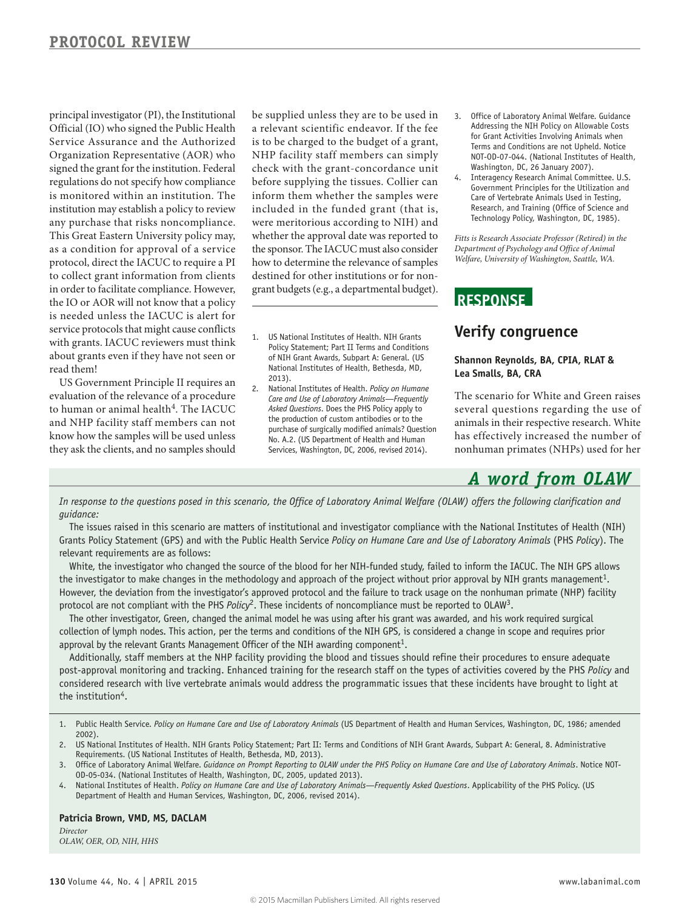regulations do not specify how compliance service protocols that might cause conflicts principal investigator (PI), the Institutional Official (IO) who signed the Public Health Service Assurance and the Authorized Organization Representative (AOR) who signed the grant for the institution. Federal is monitored within an institution. The institution may establish a policy to review any purchase that risks noncompliance. This Great Eastern University policy may, as a condition for approval of a service protocol, direct the IACUC to require a PI to collect grant information from clients in order to facilitate compliance. However, the IO or AOR will not know that a policy is needed unless the IACUC is alert for with grants. IACUC reviewers must think about grants even if they have not seen or read them!

 evaluation of the relevance of a procedure US Government Principle II requires an to human or animal health<sup>4</sup>. The IACUC and NHP facility staff members can not know how the samples will be used unless they ask the clients, and no samples should

a relevant scientific endeavor. If the fee before supplying the tissues. Collier can whether the approval date was reported to the sponsor. The IACUC must also consider be supplied unless they are to be used in is to be charged to the budget of a grant, NHP facility staff members can simply check with the grant-concordance unit inform them whether the samples were included in the funded grant (that is, were meritorious according to NIH) and how to determine the relevance of samples destined for other institutions or for nongrant budgets (e.g., a departmental budget).

- 1. US National Institutes of Health. NIH Grants Policy Statement; Part II Terms and Conditions of NIH Grant Awards, Subpart A: General. (US National Institutes of Health, Bethesda, MD, 2013).
- 2. National Institutes of Health. *Policy on Humane Care and Use of Laboratory Animals—Frequently Asked Questions*. Does the PHS Policy apply to the production of custom antibodies or to the purchase of surgically modified animals? Question No. A.2. (US Department of Health and Human Services, Washington, DC, 2006, revised 2014).
- 3. Office of Laboratory Animal Welfare. Guidance Addressing the NIH Policy on Allowable Costs for Grant Activities Involving Animals when Terms and Conditions are not Upheld. Notice NOT-OD-07-044. (National Institutes of Health, Washington, DC, 26 January 2007).
- 4. Interagency Research Animal Committee. U.S. Government Principles for the Utilization and Care of Vertebrate Animals Used in Testing, Research, and Training (Office of Science and Technology Policy, Washington, DC, 1985).

*Fitts is Research Associate Professor (Retired) in the Department of Psychology and Office of Animal Welfare, University of Washington, Seattle, WA.* 

### **ReSponSe**

## **Verify congruence**

#### **Shannon Reynolds, BA, CpIA, RLAT & Lea Smalls, BA, CRA**

The scenario for White and Green raises several questions regarding the use of animals in their respective research. White has effectively increased the number of nonhuman primates (NHPs) used for her

# *A word from OLAW*

*In response to the questions posed in this scenario, the Office of Laboratory Animal Welfare (OLAW) offers the following clarification and guidance:* 

The issues raised in this scenario are matters of institutional and investigator compliance with the National Institutes of Health (NIH) Grants Policy Statement (GPS) and with the Public Health Service *Policy on Humane Care and Use of Laboratory Animals* (PHS *Policy*). The relevant requirements are as follows:

White, the investigator who changed the source of the blood for her NIH-funded study, failed to inform the IACUC. The NIH GPS allows the investigator to make changes in the methodology and approach of the project without prior approval by NIH grants management<sup>1</sup>. However, the deviation from the investigator's approved protocol and the failure to track usage on the nonhuman primate (NHP) facility protocol are not compliant with the PHS *Policy*2. These incidents of noncompliance must be reported to OLAW3 .

The other investigator, Green, changed the animal model he was using after his grant was awarded, and his work required surgical collection of lymph nodes. This action, per the terms and conditions of the NIH GPS, is considered a change in scope and requires prior approval by the relevant Grants Management Officer of the NIH awarding component<sup>1</sup>.

Additionally, staff members at the NHP facility providing the blood and tissues should refine their procedures to ensure adequate post-approval monitoring and tracking. Enhanced training for the research staff on the types of activities covered by the PHS *Policy* and considered research with live vertebrate animals would address the programmatic issues that these incidents have brought to light at the institution<sup>4</sup>.

- 1. Public Health Service. Policy on Humane Care and Use of Laboratory Animals (US Department of Health and Human Services, Washington, DC, 1986; amended 2002).
- 2. US National Institutes of Health. NIH Grants Policy Statement; Part II: Terms and Conditions of NIH Grant Awards, Subpart A: General, 8. Administrative Requirements. (US National Institutes of Health, Bethesda, MD, 2013).
- 3. Office of Laboratory Animal Welfare. *Guidance on Prompt Reporting to OLAW under the PHS Policy on Humane Care and Use of Laboratory Animals. Notice NOT-*OD-05-034. (National Institutes of Health, Washington, DC, 2005, updated 2013).
- 4. National Institutes of Health. Policy on Humane Care and Use of Laboratory Animals—Frequently Asked Questions. Applicability of the PHS Policy. (US Department of Health and Human Services, Washington, DC, 2006, revised 2014).

#### **patricia Brown, VMD, MS, DACLAM**

*Director OLAW, OER, OD, NIH, HHS*